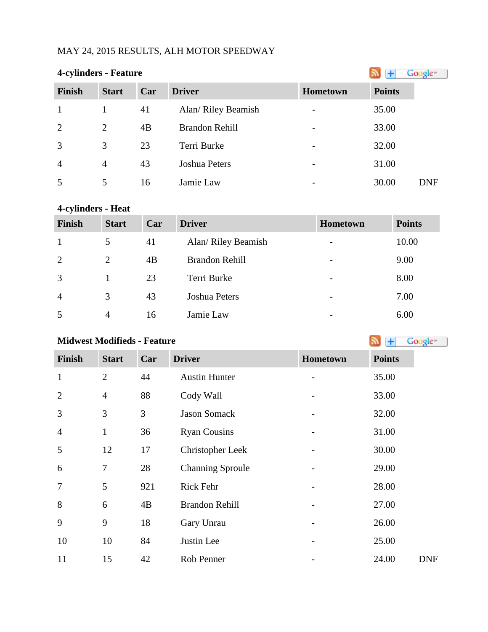## MAY 24, 2015 RESULTS, ALH MOTOR SPEEDWAY

## **4-cylinders - Feature**

| $       -$     |                |     |                       |                              |               |            |
|----------------|----------------|-----|-----------------------|------------------------------|---------------|------------|
| <b>Finish</b>  | <b>Start</b>   | Car | <b>Driver</b>         | Hometown                     | <b>Points</b> |            |
|                |                | 41  | Alan/ Riley Beamish   |                              | 35.00         |            |
| 2              | $\overline{2}$ | 4B  | <b>Brandon Rehill</b> | $\overline{\phantom{0}}$     | 33.00         |            |
| 3              | 3              | 23  | Terri Burke           | $\qquad \qquad \blacksquare$ | 32.00         |            |
| $\overline{4}$ | $\overline{4}$ | 43  | Joshua Peters         | $\qquad \qquad \blacksquare$ | 31.00         |            |
| 5              | 5              | 16  | Jamie Law             | $\overline{\phantom{0}}$     | 30.00         | <b>DNF</b> |

# **4-cylinders - Heat**

| <b>Finish</b>  | <b>Start</b>   | Car | <b>Driver</b>         | <b>Hometown</b>          | <b>Points</b> |
|----------------|----------------|-----|-----------------------|--------------------------|---------------|
|                | 5              | 41  | Alan/ Riley Beamish   | $\overline{\phantom{a}}$ | 10.00         |
| 2              | 2              | 4B  | <b>Brandon Rehill</b> | $\overline{\phantom{a}}$ | 9.00          |
| 3              |                | 23  | Terri Burke           | $\overline{\phantom{a}}$ | 8.00          |
| $\overline{4}$ | 3              | 43  | Joshua Peters         | $\overline{\phantom{a}}$ | 7.00          |
| 5              | $\overline{4}$ | 16  | Jamie Law             | $\overline{\phantom{a}}$ | 6.00          |

# **Midwest Modifieds - Feature**

| <b>Finish</b>  | <b>Start</b>   | Car | <b>Driver</b>           | Hometown | <b>Points</b> |
|----------------|----------------|-----|-------------------------|----------|---------------|
| $\mathbf{1}$   | $\overline{2}$ | 44  | <b>Austin Hunter</b>    |          | 35.00         |
| $\overline{2}$ | $\overline{4}$ | 88  | Cody Wall               |          | 33.00         |
| 3              | 3              | 3   | <b>Jason Somack</b>     |          | 32.00         |
| $\overline{4}$ | $\mathbf{1}$   | 36  | <b>Ryan Cousins</b>     |          | 31.00         |
| 5              | 12             | 17  | <b>Christopher Leek</b> |          | 30.00         |
| 6              | $\overline{7}$ | 28  | <b>Channing Sproule</b> |          | 29.00         |
| 7              | 5              | 921 | Rick Fehr               |          | 28.00         |
| 8              | 6              | 4B  | <b>Brandon Rehill</b>   |          | 27.00         |
| 9              | 9              | 18  | Gary Unrau              |          | 26.00         |
| 10             | 10             | 84  | Justin Lee              |          | 25.00         |
| 11             | 15             | 42  | Rob Penner              |          | 24.00         |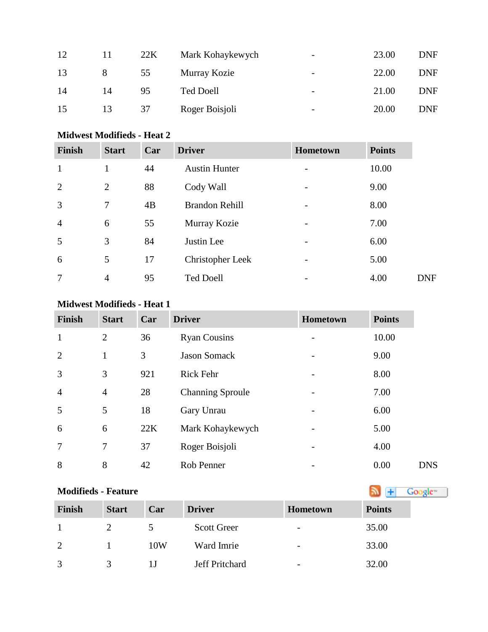| 12 | 11 | 22K | Mark Kohaykewych | $\overline{\phantom{0}}$ | 23.00 | <b>DNF</b> |
|----|----|-----|------------------|--------------------------|-------|------------|
| 13 | 8  | 55  | Murray Kozie     | $\overline{\phantom{0}}$ | 22.00 | <b>DNF</b> |
| 14 | 14 | 95  | <b>Ted Doell</b> | $\overline{\phantom{0}}$ | 21.00 | <b>DNF</b> |
| 15 | 13 | 37  | Roger Boisjoli   | -                        | 20.00 | <b>DNF</b> |

### **Midwest Modifieds - Heat 2**

| <b>Finish</b>  | <b>Start</b>   | Car | <b>Driver</b>           | <b>Hometown</b>   | <b>Points</b> |
|----------------|----------------|-----|-------------------------|-------------------|---------------|
| 1              | 1              | 44  | <b>Austin Hunter</b>    |                   | 10.00         |
| 2              | $\overline{2}$ | 88  | Cody Wall               | $\qquad \qquad -$ | 9.00          |
| 3              | 7              | 4B  | <b>Brandon Rehill</b>   |                   | 8.00          |
| $\overline{4}$ | 6              | 55  | Murray Kozie            | -                 | 7.00          |
| 5              | 3              | 84  | Justin Lee              | $\qquad \qquad -$ | 6.00          |
| 6              | 5              | 17  | <b>Christopher Leek</b> |                   | 5.00          |
| 7              | $\overline{4}$ | 95  | <b>Ted Doell</b>        | -                 | 4.00          |

## **Midwest Modifieds - Heat 1**

| <b>Finish</b>  | <b>Start</b>   | Car | <b>Driver</b>           | <b>Hometown</b> | <b>Points</b> |
|----------------|----------------|-----|-------------------------|-----------------|---------------|
| $\mathbf{1}$   | $\overline{2}$ | 36  | <b>Ryan Cousins</b>     |                 | 10.00         |
| $\overline{2}$ | 1              | 3   | <b>Jason Somack</b>     |                 | 9.00          |
| 3              | 3              | 921 | <b>Rick Fehr</b>        |                 | 8.00          |
| $\overline{4}$ | $\overline{4}$ | 28  | <b>Channing Sproule</b> |                 | 7.00          |
| 5              | 5              | 18  | Gary Unrau              |                 | 6.00          |
| 6              | 6              | 22K | Mark Kohaykewych        |                 | 5.00          |
| $\overline{7}$ | 7              | 37  | Roger Boisjoli          |                 | 4.00          |
| 8              | 8              | 42  | Rob Penner              |                 | 0.00          |

# **Modifieds - Feature**

| <b>Finish</b> | <b>Start</b> | Car | <b>Driver</b>      | Hometown                 | <b>Points</b> |
|---------------|--------------|-----|--------------------|--------------------------|---------------|
|               |              |     | <b>Scott Greer</b> | $\overline{\phantom{a}}$ | 35.00         |
| 2             |              | 10W | Ward Imrie         | $\overline{\phantom{a}}$ | 33.00         |
| 3             |              |     | Jeff Pritchard     | $\overline{\phantom{a}}$ | 32.00         |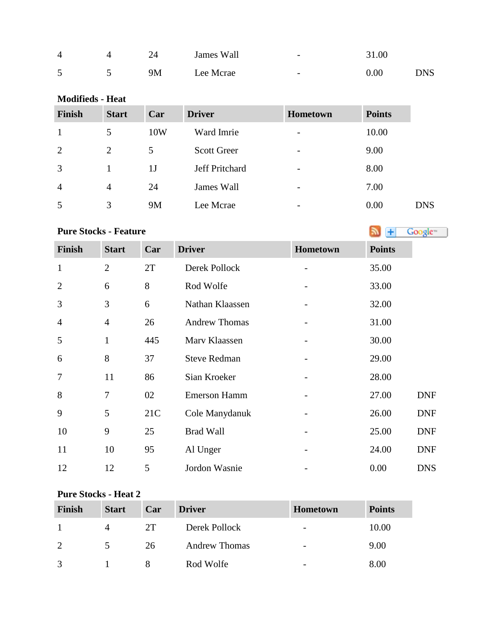| 4 | 24 | James Wall | $\overline{\phantom{0}}$ | 31.00 |     |
|---|----|------------|--------------------------|-------|-----|
| 5 | 9M | Lee Mcrae  | $\overline{\phantom{0}}$ | 0.00  | DNS |

#### **Modifieds - Heat**

| <b>Finish</b>  | <b>Start</b>   | Car | <b>Driver</b>         | <b>Hometown</b>          | <b>Points</b> |            |
|----------------|----------------|-----|-----------------------|--------------------------|---------------|------------|
| 1              | 5              | 10W | Ward Imrie            | $\overline{\phantom{a}}$ | 10.00         |            |
| 2              | $\overline{2}$ | 5   | <b>Scott Greer</b>    | $\overline{\phantom{a}}$ | 9.00          |            |
| 3              |                | 1J  | <b>Jeff Pritchard</b> | $\overline{\phantom{a}}$ | 8.00          |            |
| $\overline{4}$ | $\overline{4}$ | 24  | James Wall            | $\overline{\phantom{a}}$ | 7.00          |            |
| 5              | 3              | 9M  | Lee Mcrae             | $\overline{\phantom{a}}$ | 0.00          | <b>DNS</b> |

## **PureStocks - Feature Algebra 2019 Coolers**

| <b>Finish</b>  | <b>Start</b>   | Car | <b>Driver</b>        | Hometown                     | <b>Points</b> |            |
|----------------|----------------|-----|----------------------|------------------------------|---------------|------------|
| $\mathbf{1}$   | $\overline{2}$ | 2T  | Derek Pollock        | $\qquad \qquad -$            | 35.00         |            |
| $\overline{2}$ | 6              | 8   | Rod Wolfe            |                              | 33.00         |            |
| 3              | 3              | 6   | Nathan Klaassen      |                              | 32.00         |            |
| $\overline{4}$ | $\overline{4}$ | 26  | <b>Andrew Thomas</b> |                              | 31.00         |            |
| 5              | $\mathbf{1}$   | 445 | Marv Klaassen        |                              | 30.00         |            |
| 6              | 8              | 37  | <b>Steve Redman</b>  |                              | 29.00         |            |
| $\overline{7}$ | 11             | 86  | Sian Kroeker         |                              | 28.00         |            |
| 8              | 7              | 02  | <b>Emerson Hamm</b>  |                              | 27.00         | <b>DNF</b> |
| 9              | 5              | 21C | Cole Manydanuk       |                              | 26.00         | <b>DNF</b> |
| 10             | 9              | 25  | <b>Brad Wall</b>     | -                            | 25.00         | <b>DNF</b> |
| 11             | 10             | 95  | Al Unger             | $\qquad \qquad \blacksquare$ | 24.00         | <b>DNF</b> |
| 12             | 12             | 5   | Jordon Wasnie        |                              | 0.00          | <b>DNS</b> |

## **Pure Stocks - Heat 2**

| Finish        | <b>Start</b> | Car | <b>Driver</b>        | <b>Hometown</b>          | <b>Points</b> |
|---------------|--------------|-----|----------------------|--------------------------|---------------|
|               | 4            | 2T  | Derek Pollock        | $\overline{\phantom{a}}$ | 10.00         |
| 2             | 5.           | 26  | <b>Andrew Thomas</b> | $\overline{\phantom{a}}$ | 9.00          |
| $\mathcal{R}$ |              |     | Rod Wolfe            | $\overline{\phantom{m}}$ | 8.00          |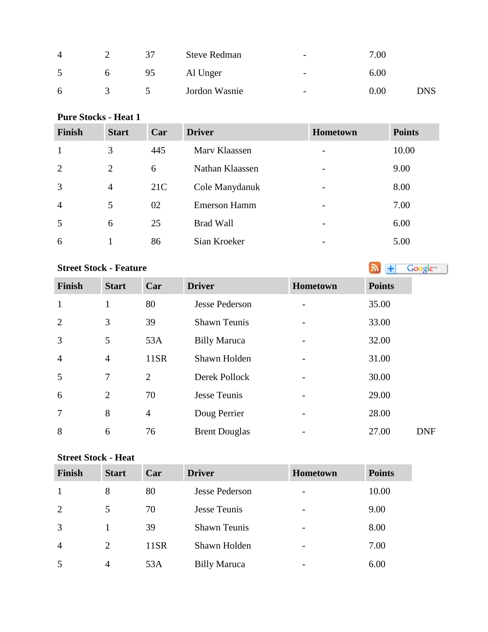| $\overline{4}$ |              |    | <b>Steve Redman</b> | $\overline{\phantom{0}}$ | 7.00     |            |
|----------------|--------------|----|---------------------|--------------------------|----------|------------|
| 5              | <sub>0</sub> | 95 | Al Unger            | $\overline{\phantom{a}}$ | $6.00\,$ |            |
| 6              |              |    | Jordon Wasnie       | $\overline{\phantom{a}}$ | $0.00\,$ | <b>DNS</b> |

## **Pure Stocks - Heat 1**

| <b>Finish</b>  | <b>Start</b>   | Car | <b>Driver</b>       | <b>Hometown</b> | <b>Points</b> |
|----------------|----------------|-----|---------------------|-----------------|---------------|
| 1              | 3              | 445 | Mary Klaassen       |                 | 10.00         |
| $\overline{2}$ | $\overline{2}$ | 6   | Nathan Klaassen     |                 | 9.00          |
| 3              | 4              | 21C | Cole Manydanuk      |                 | 8.00          |
| $\overline{4}$ | 5              | 02  | <b>Emerson Hamm</b> | -               | 7.00          |
| 5              | 6              | 25  | <b>Brad Wall</b>    | -               | 6.00          |
| 6              |                | 86  | Sian Kroeker        | -               | 5.00          |

## **StreetStock - Feature Street Stock - Feature**

| <b>Finish</b>  | <b>Start</b>   | Car            | <b>Driver</b>         | Hometown | <b>Points</b> |
|----------------|----------------|----------------|-----------------------|----------|---------------|
| $\mathbf{1}$   | 1              | 80             | <b>Jesse Pederson</b> |          | 35.00         |
| $\overline{2}$ | 3              | 39             | <b>Shawn Teunis</b>   |          | 33.00         |
| $\overline{3}$ | 5              | 53A            | <b>Billy Maruca</b>   |          | 32.00         |
| $\overline{4}$ | $\overline{4}$ | 11SR           | Shawn Holden          |          | 31.00         |
| 5              | $\tau$         | 2              | Derek Pollock         |          | 30.00         |
| 6              | $\overline{2}$ | 70             | <b>Jesse Teunis</b>   |          | 29.00         |
| $\overline{7}$ | 8              | $\overline{4}$ | Doug Perrier          |          | 28.00         |
| 8              | 6              | 76             | <b>Brent Douglas</b>  |          | 27.00         |

#### **Street Stock - Heat**

| <b>Finish</b>  | <b>Start</b>   | Car  | <b>Driver</b>         | <b>Hometown</b> | <b>Points</b> |
|----------------|----------------|------|-----------------------|-----------------|---------------|
|                | 8              | 80   | <b>Jesse Pederson</b> |                 | 10.00         |
| 2              | 5              | 70   | Jesse Teunis          |                 | 9.00          |
| 3              |                | 39   | <b>Shawn Teunis</b>   |                 | 8.00          |
| $\overline{4}$ | 2              | 11SR | Shawn Holden          |                 | 7.00          |
|                | $\overline{A}$ | 53A  | <b>Billy Maruca</b>   |                 | 6.00          |